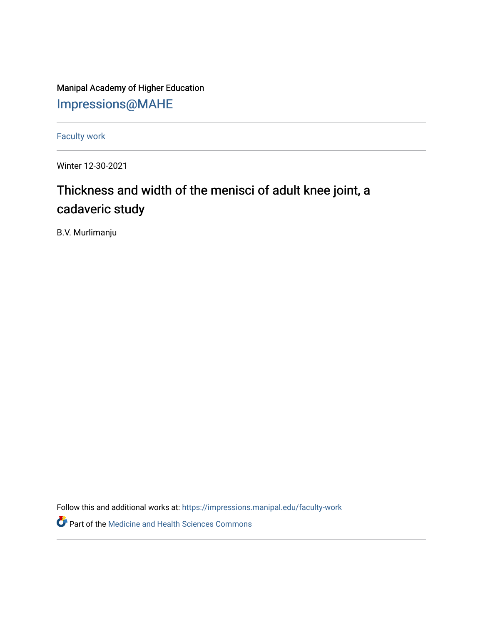Manipal Academy of Higher Education [Impressions@MAHE](https://impressions.manipal.edu/)

[Faculty work](https://impressions.manipal.edu/faculty-work) 

Winter 12-30-2021

## Thickness and width of the menisci of adult knee joint, a cadaveric study

B.V. Murlimanju

Follow this and additional works at: [https://impressions.manipal.edu/faculty-work](https://impressions.manipal.edu/faculty-work?utm_source=impressions.manipal.edu%2Ffaculty-work%2F97&utm_medium=PDF&utm_campaign=PDFCoverPages) 

Part of the [Medicine and Health Sciences Commons](http://network.bepress.com/hgg/discipline/648?utm_source=impressions.manipal.edu%2Ffaculty-work%2F97&utm_medium=PDF&utm_campaign=PDFCoverPages)